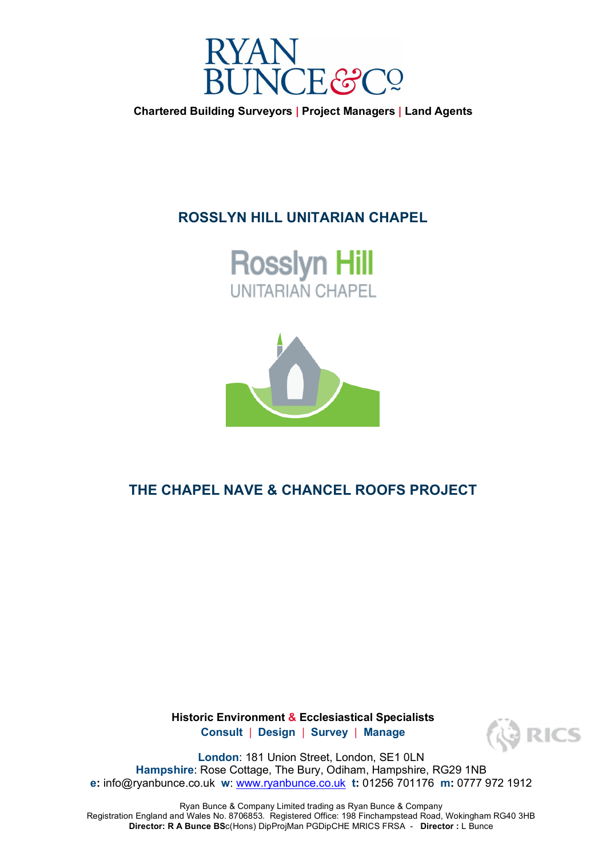

**Chartered Building Surveyors | Project Managers | Land Agents** 

## **ROSSLYN HILL UNITARIAN CHAPEL**





## **THE CHAPEL NAVE & CHANCEL ROOFS PROJECT**

**Historic Environment & Ecclesiastical Specialists Consult** | **Design** | **Survey** | **Manage**



**London**: 181 Union Street, London, SE1 0LN **Hampshire**: Rose Cottage, The Bury, Odiham, Hampshire, RG29 1NB **e:** info@ryanbunce.co.uk **w**: www.ryanbunce.co.uk **t:** 01256 701176 **m:** 0777 972 1912

Ryan Bunce & Company Limited trading as Ryan Bunce & Company Registration England and Wales No. 8706853. Registered Office: 198 Finchampstead Road, Wokingham RG40 3HB **Director: R A Bunce BS**c(Hons) DipProjMan PGDipCHE MRICS FRSA - **Director :** L Bunce